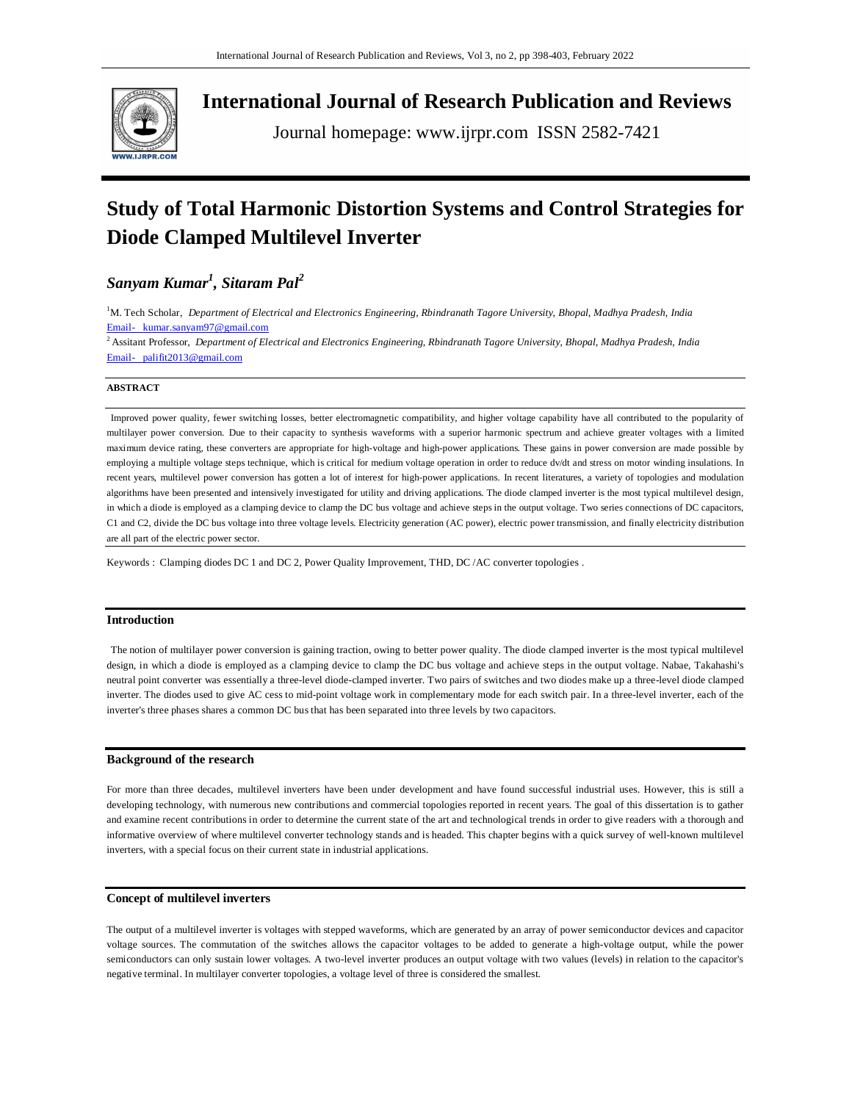

**International Journal of Research Publication and Reviews**

Journal homepage: www.ijrpr.com ISSN 2582-7421

# **Study of Total Harmonic Distortion Systems and Control Strategies for Diode Clamped Multilevel Inverter**

# *Sanyam Kumar<sup>1</sup> , Sitaram Pal<sup>2</sup>*

<sup>1</sup>M. Tech Scholar, Department of Electrical and Electronics Engineering, Rbindranath Tagore University, Bhopal, Madhya Pradesh, India Email- kumar.sanyam97@gmail.com

<sup>2</sup> Assitant Professor, *Department of Electrical and Electronics Engineering, Rbindranath Tagore University, Bhopal, Madhya Pradesh, India* Email- palifit2013@gmail.com

## **ABSTRACT**

Improved power quality, fewer switching losses, better electromagnetic compatibility, and higher voltage capability have all contributed to the popularity of multilayer power conversion. Due to their capacity to synthesis waveforms with a superior harmonic spectrum and achieve greater voltages with a limited maximum device rating, these converters are appropriate for high-voltage and high-power applications. These gains in power conversion are made possible by employing a multiple voltage steps technique, which is critical for medium voltage operation in order to reduce dv/dt and stress on motor winding insulations. In recent years, multilevel power conversion has gotten a lot of interest for high-power applications. In recent literatures, a variety of topologies and modulation algorithms have been presented and intensively investigated for utility and driving applications. The diode clamped inverter is the most typical multilevel design, in which a diode is employed as a clamping device to clamp the DC bus voltage and achieve steps in the output voltage. Two series connections of DC capacitors, C1 and C2, divide the DC bus voltage into three voltage levels. Electricity generation (AC power), electric power transmission, and finally electricity distribution are all part of the electric power sector.

Keywords : Clamping diodes DC 1 and DC 2, Power Quality Improvement, THD, DC /AC converter topologies .

#### **Introduction**

The notion of multilayer power conversion is gaining traction, owing to better power quality. The diode clamped inverter is the most typical multilevel design, in which a diode is employed as a clamping device to clamp the DC bus voltage and achieve steps in the output voltage. Nabae, Takahashi's neutral point converter was essentially a three-level diode-clamped inverter. Two pairs of switches and two diodes make up a three-level diode clamped inverter. The diodes used to give AC cess to mid-point voltage work in complementary mode for each switch pair. In a three-level inverter, each of the inverter's three phases shares a common DC bus that has been separated into three levels by two capacitors.

#### **Background of the research**

For more than three decades, multilevel inverters have been under development and have found successful industrial uses. However, this is still a developing technology, with numerous new contributions and commercial topologies reported in recent years. The goal of this dissertation is to gather and examine recent contributions in order to determine the current state of the art and technological trends in order to give readers with a thorough and informative overview of where multilevel converter technology stands and is headed. This chapter begins with a quick survey of well-known multilevel inverters, with a special focus on their current state in industrial applications.

# **Concept of multilevel inverters**

The output of a multilevel inverter is voltages with stepped waveforms, which are generated by an array of power semiconductor devices and capacitor voltage sources. The commutation of the switches allows the capacitor voltages to be added to generate a high-voltage output, while the power semiconductors can only sustain lower voltages. A two-level inverter produces an output voltage with two values (levels) in relation to the capacitor's negative terminal. In multilayer converter topologies, a voltage level of three is considered the smallest.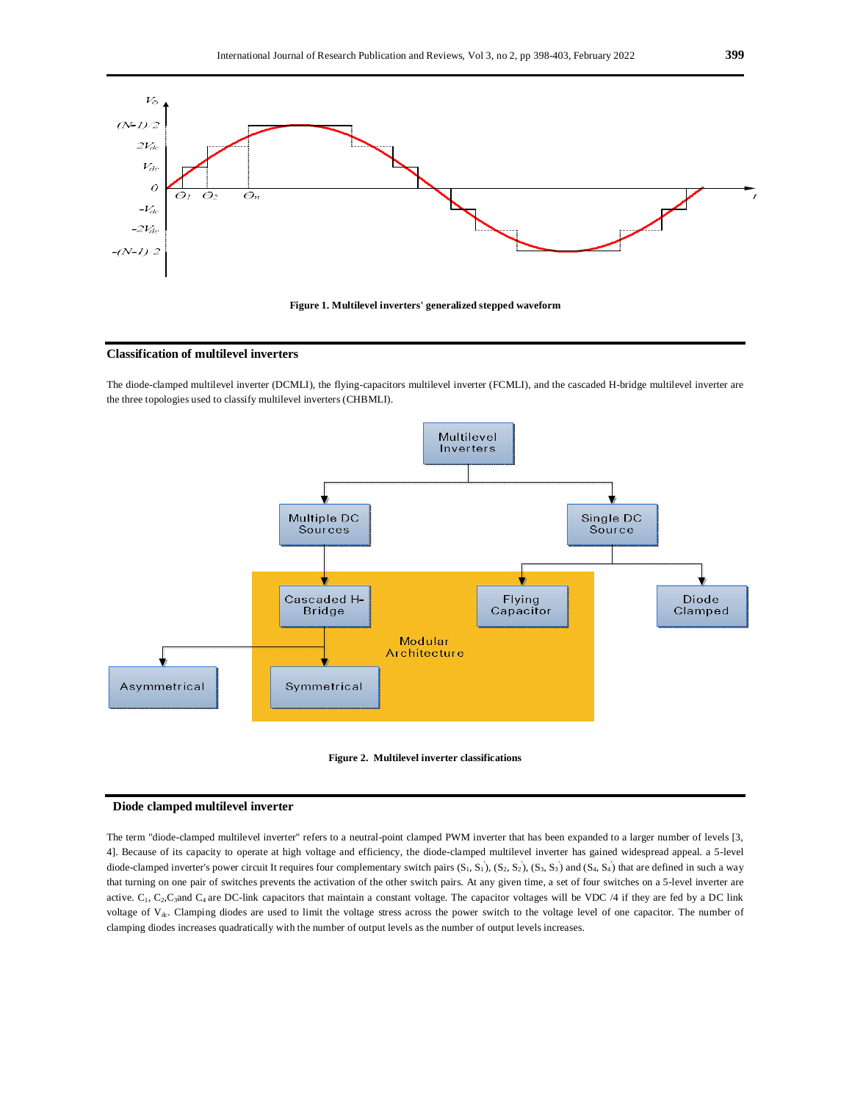



# **Classification of multilevel inverters**

The diode-clamped multilevel inverter (DCMLI), the flying-capacitors multilevel inverter (FCMLI), and the cascaded H-bridge multilevel inverter are the three topologies used to classify multilevel inverters (CHBMLI).





#### **Diode clamped multilevel inverter**

The term "diode-clamped multilevel inverter" refers to a neutral-point clamped PWM inverter that has been expanded to a larger number of levels [3, 4]. Because of its capacity to operate at high voltage and efficiency, the diode-clamped multilevel inverter has gained widespread appeal. a 5-level diode-clamped inverter's power circuit It requires four complementary switch pairs  $(S_1, S_1)$ ,  $(S_2, S_2)$ ,  $(S_3, S_3)$  and  $(S_4, S_4)$  that are defined in such a way that turning on one pair of switches prevents the activation of the other switch pairs. At any given time, a set of four switches on a 5-level inverter are active.  $C_1$ ,  $C_2$ ,  $C_3$ and  $C_4$  are DC-link capacitors that maintain a constant voltage. The capacitor voltages will be VDC /4 if they are fed by a DC link voltage of V<sub>dc</sub>. Clamping diodes are used to limit the voltage stress across the power switch to the voltage level of one capacitor. The number of clamping diodes increases quadratically with the number of output levels as the number of output levels increases.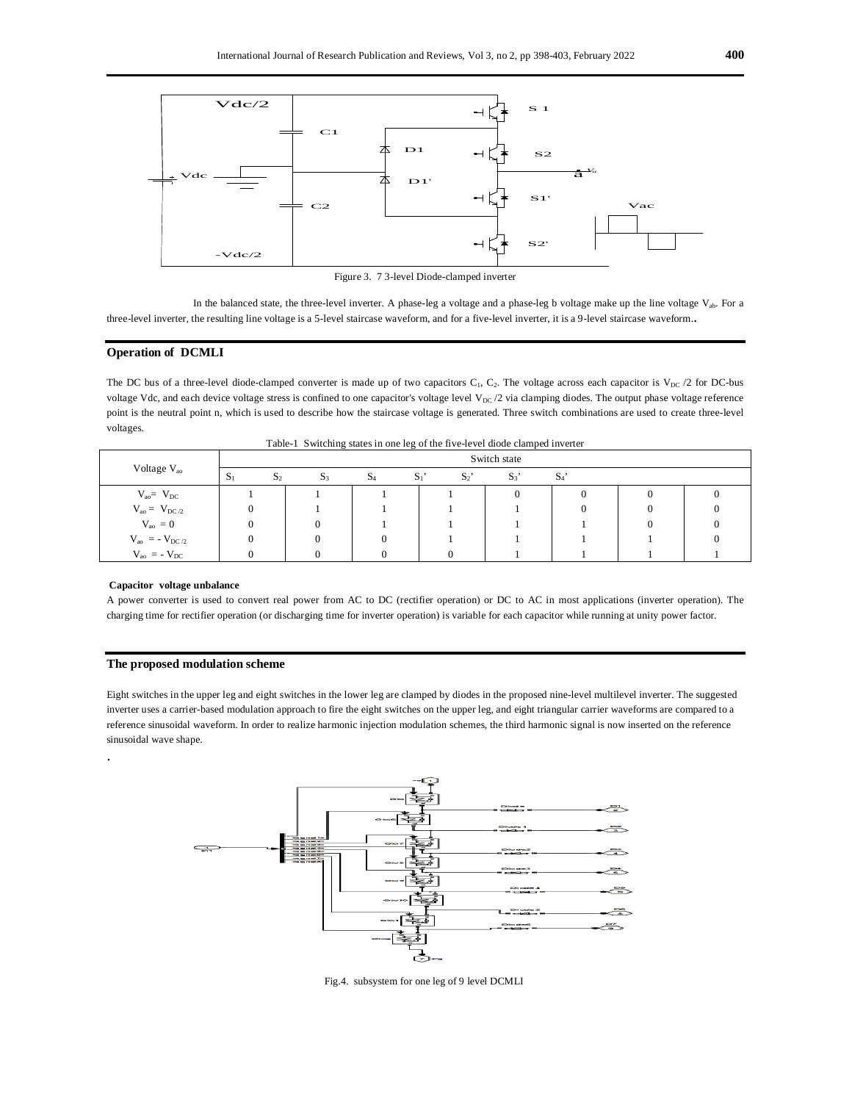

Figure 3. 7 3-level Diode-clamped inverter

In the balanced state, the three-level inverter. A phase-leg a voltage and a phase-leg b voltage make up the line voltage  $V_{ab}$ . For a three-level inverter, the resulting line voltage is a 5-level staircase waveform, and for a five-level inverter, it is a 9-level staircase waveform..

# **Operation of DCMLI**

The DC bus of a three-level diode-clamped converter is made up of two capacitors  $C_1$ ,  $C_2$ . The voltage across each capacitor is  $V_{DC}$  /2 for DC-bus voltage Vdc, and each device voltage stress is confined to one capacitor's voltage level V<sub>DC</sub> /2 via clamping diodes. The output phase voltage reference point is the neutral point n, which is used to describe how the staircase voltage is generated. Three switch combinations are used to create three-level voltages.

| Voltage V <sub>ao</sub>             | Switch state            |                |            |                |       |       |  |  |  |  |
|-------------------------------------|-------------------------|----------------|------------|----------------|-------|-------|--|--|--|--|
|                                     | $S_1$<br>S <sub>2</sub> | $\mathbf{D}_3$ | $\Delta_4$ | $S_1$<br>$S_2$ | $S_3$ | $S_4$ |  |  |  |  |
| $V_{ao} = V_{DC}$                   |                         |                |            |                |       |       |  |  |  |  |
| $V_{ao} = V_{DC/2}$                 |                         |                |            |                |       |       |  |  |  |  |
| $V_{\text{ao}} = 0$                 |                         |                |            |                |       |       |  |  |  |  |
| $V_{\text{ao}} = -V_{\text{DC}/2}$  |                         |                |            |                |       |       |  |  |  |  |
| $V_{\text{ao}}$ = - $V_{\text{DC}}$ |                         |                |            |                |       |       |  |  |  |  |

Table-1 Switching states in one leg of the five-level diode clamped inverter

#### **Capacitor voltage unbalance**

.

A power converter is used to convert real power from AC to DC (rectifier operation) or DC to AC in most applications (inverter operation). The charging time for rectifier operation (or discharging time for inverter operation) is variable for each capacitor while running at unity power factor.

# **The proposed modulation scheme**

Eight switches in the upper leg and eight switches in the lower leg are clamped by diodes in the proposed nine-level multilevel inverter. The suggested inverter uses a carrier-based modulation approach to fire the eight switches on the upper leg, and eight triangular carrier waveforms are compared to a reference sinusoidal waveform. In order to realize harmonic injection modulation schemes, the third harmonic signal is now inserted on the reference sinusoidal wave shape.



Fig.4. subsystem for one leg of 9 level DCMLI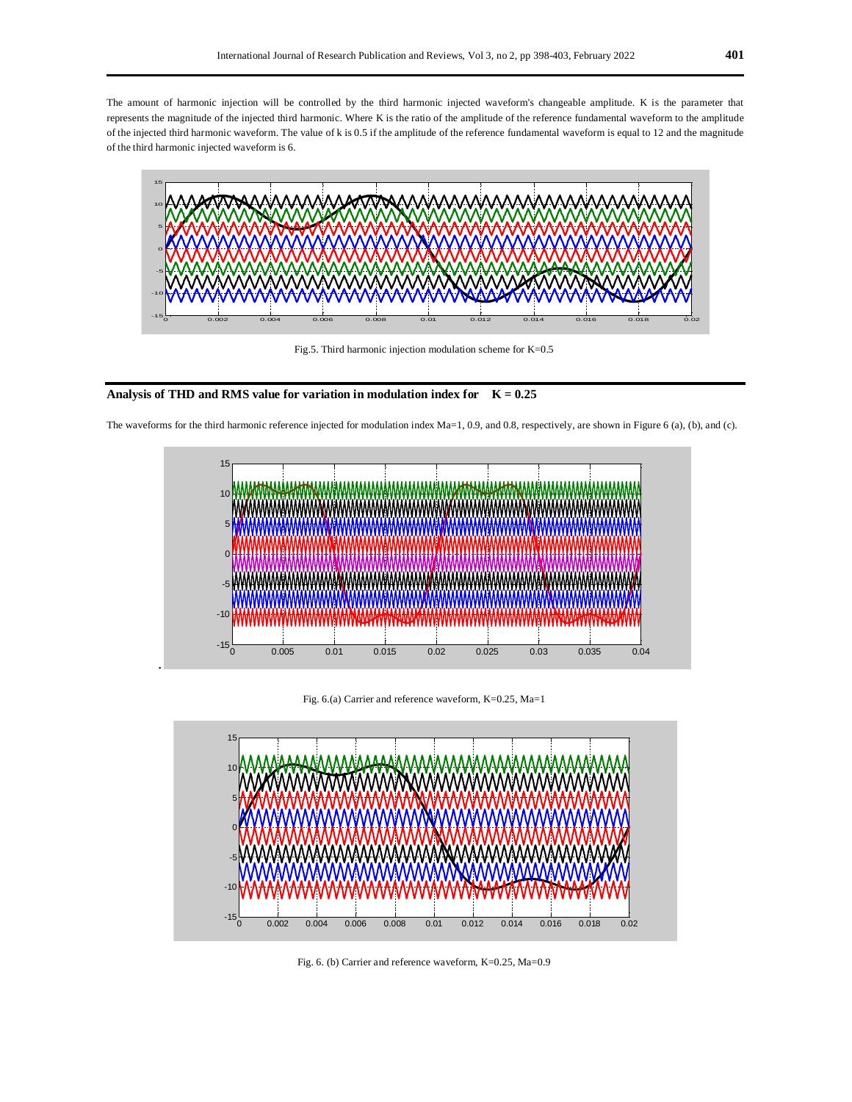The amount of harmonic injection will be controlled by the third harmonic injected waveform's changeable amplitude. K is the parameter that represents the magnitude of the injected third harmonic. Where K is the ratio of the amplitude of the reference fundamental waveform to the amplitude of the injected third harmonic waveform. The value of k is 0.5 if the amplitude of the reference fundamental waveform is equal to 12 and the magnitude of the third harmonic injected waveform is 6.



Fig.5. Third harmonic injection modulation scheme for K=0.5



.





Fig. 6.(a) Carrier and reference waveform, K=0.25, Ma=1



Fig. 6. (b) Carrier and reference waveform, K=0.25, Ma=0.9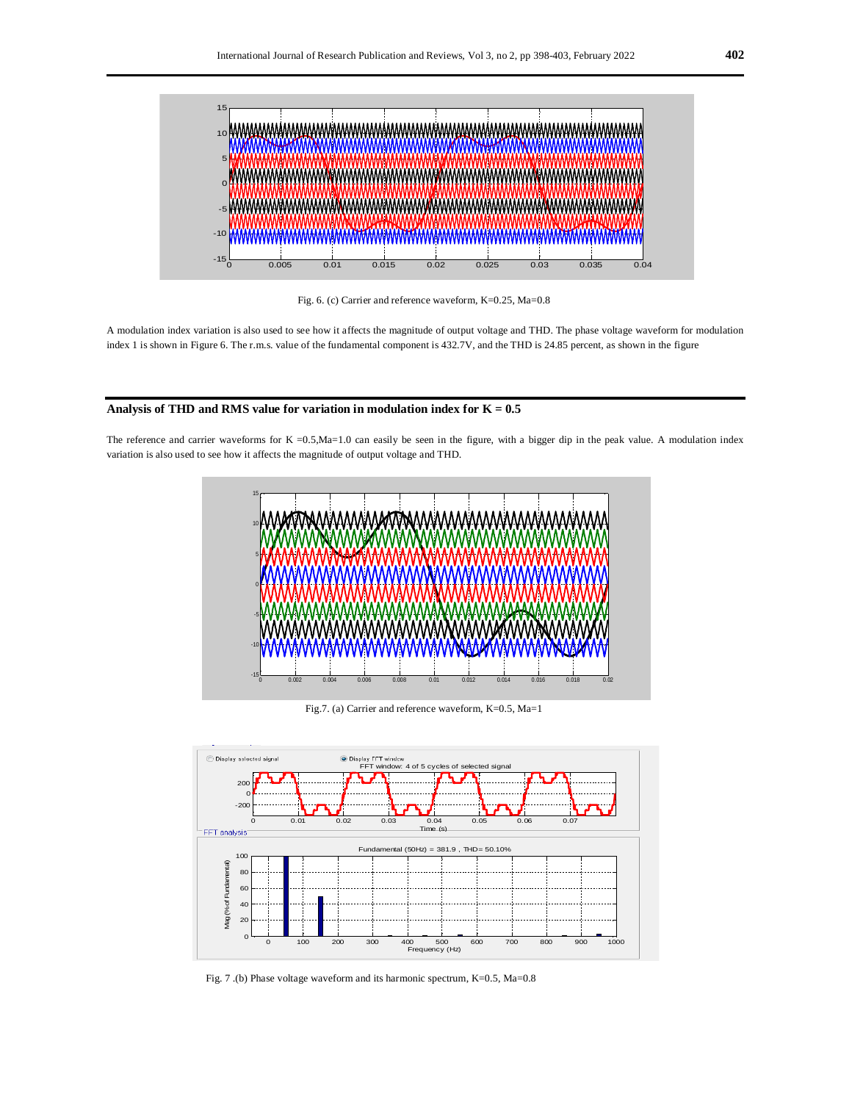

Fig. 6. (c) Carrier and reference waveform, K=0.25, Ma=0.8

A modulation index variation is also used to see how it affects the magnitude of output voltage and THD. The phase voltage waveform for modulation index 1 is shown in Figure 6. The r.m.s. value of the fundamental component is 432.7V, and the THD is 24.85 percent, as shown in the figure

# **Analysis of THD and RMS value for variation in modulation index for K = 0.5**

The reference and carrier waveforms for  $K = 0.5$ , Ma=1.0 can easily be seen in the figure, with a bigger dip in the peak value. A modulation index variation is also used to see how it affects the magnitude of output voltage and THD.



Fig.7. (a) Carrier and reference waveform, K=0.5, Ma=1



Fig. 7 .(b) Phase voltage waveform and its harmonic spectrum, K=0.5, Ma=0.8